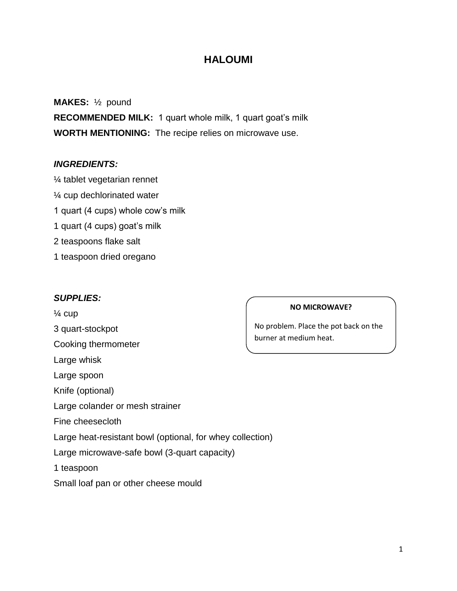# **HALOUMI**

## **MAKES:** ½ pound

**RECOMMENDED MILK:** 1 quart whole milk, 1 quart goat's milk **WORTH MENTIONING:** The recipe relies on microwave use.

### *INGREDIENTS:*

- ¼ tablet vegetarian rennet
- ¼ cup dechlorinated water
- 1 quart (4 cups) whole cow's milk
- 1 quart (4 cups) goat's milk
- 2 teaspoons flake salt
- 1 teaspoon dried oregano

### *SUPPLIES:*

 $\frac{1}{4}$  cup 3 quart-stockpot Cooking thermometer Large whisk Large spoon Knife (optional) Large colander or mesh strainer Fine cheesecloth Large heat-resistant bowl (optional, for whey collection) Large microwave-safe bowl (3-quart capacity) 1 teaspoon Small loaf pan or other cheese mould

#### **NO MICROWAVE?**

No problem. Place the pot back on the burner at medium heat.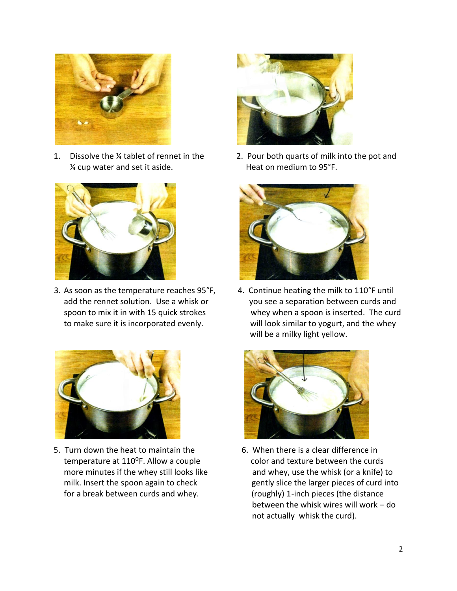

% cup water and set it aside. Heat on medium to 95°F.



3. As soon as the temperature reaches 95°F, 4. Continue heating the milk to 110°F until



5. Turn down the heat to maintain the 6. When there is a clear difference in temperature at 110<sup>o</sup>F. Allow a couple color and texture between the curds for a break between curds and whey. (roughly) 1-inch pieces (the distance



1. Dissolve the ¼ tablet of rennet in the 2. Pour both quarts of milk into the pot and



add the rennet solution. Use a whisk or you see a separation between curds and spoon to mix it in with 15 quick strokes whey when a spoon is inserted. The curd to make sure it is incorporated evenly. will look similar to yogurt, and the whey will be a milky light yellow.



more minutes if the whey still looks like and whey, use the whisk (or a knife) to milk. Insert the spoon again to check gently slice the larger pieces of curd into between the whisk wires will work – do not actually whisk the curd).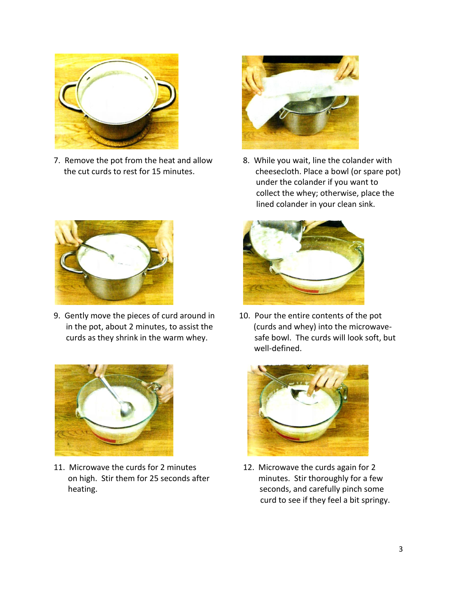

7. Remove the pot from the heat and allow 8. While you wait, line the colander with



9. Gently move the pieces of curd around in 10. Pour the entire contents of the pot



11. Microwave the curds for 2 minutes 12. Microwave the curds again for 2 on high. Stir them for 25 seconds after minutes. Stir thoroughly for a few heating. Seconds, and carefully pinch some heating.



 the cut curds to rest for 15 minutes. cheesecloth. Place a bowl (or spare pot) under the colander if you want to collect the whey; otherwise, place the lined colander in your clean sink.



 in the pot, about 2 minutes, to assist the (curds and whey) into the microwave curds as they shrink in the warm whey. safe bowl. The curds will look soft, but well-defined.



curd to see if they feel a bit springy.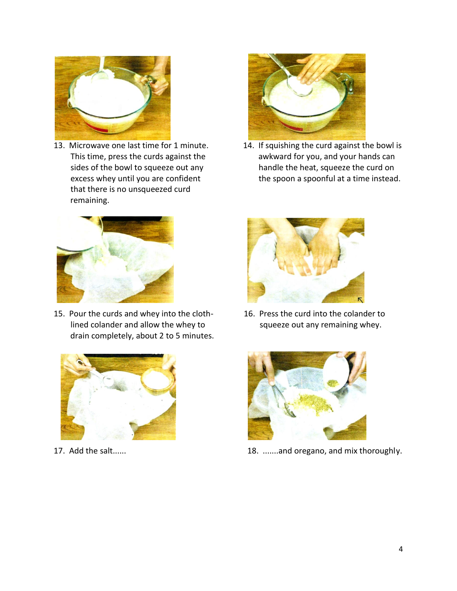

13. Microwave one last time for 1 minute. that there is no unsqueezed curd remaining.



15. Pour the curds and whey into the cloth- 16. Press the curd into the colander to lined colander and allow the whey to squeeze out any remaining whey. drain completely, about 2 to 5 minutes.





14. If squishing the curd against the bowl is This time, press the curds against the awkward for you, and your hands can sides of the bowl to squeeze out any handle the heat, squeeze the curd on excess whey until you are confident the spoon a spoonful at a time instead.





17. Add the salt...... 18. 18. ......and oregano, and mix thoroughly.